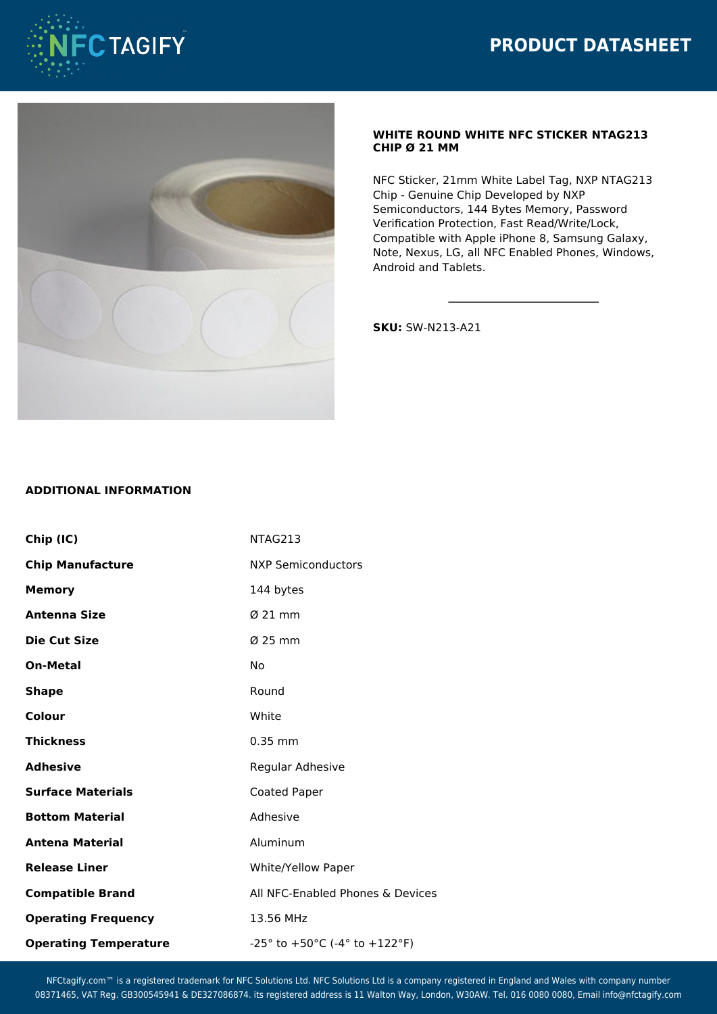



## **WHITE ROUND WHITE NFC STICKER NTAG213 CHIP Ø 21 MM**

NFC Sticker, 21mm White Label Tag, NXP NTAG213 Chip - Genuine Chip Developed by NXP Semiconductors, 144 Bytes Memory, Password Verification Protection, Fast Read/Write/Lock, Compatible with Apple iPhone 8, Samsung Galaxy, Note, Nexus, LG, all NFC Enabled Phones, Windows, Android and Tablets.

**SKU:** SW-N213-A21

## **ADDITIONAL INFORMATION**

| Chip (IC)                    | NTAG213                                                              |
|------------------------------|----------------------------------------------------------------------|
| <b>Chip Manufacture</b>      | <b>NXP Semiconductors</b>                                            |
| <b>Memory</b>                | 144 bytes                                                            |
| <b>Antenna Size</b>          | $\varnothing$ 21 mm                                                  |
| Die Cut Size                 | $\varnothing$ 25 mm                                                  |
| <b>On-Metal</b>              | No                                                                   |
| <b>Shape</b>                 | Round                                                                |
| Colour                       | White                                                                |
| <b>Thickness</b>             | $0.35$ mm                                                            |
| <b>Adhesive</b>              | Regular Adhesive                                                     |
| <b>Surface Materials</b>     | Coated Paper                                                         |
| <b>Bottom Material</b>       | Adhesive                                                             |
| <b>Antena Material</b>       | Aluminum                                                             |
| <b>Release Liner</b>         | White/Yellow Paper                                                   |
| <b>Compatible Brand</b>      | All NFC-Enabled Phones & Devices                                     |
| <b>Operating Frequency</b>   | 13.56 MHz                                                            |
| <b>Operating Temperature</b> | $-25^{\circ}$ to $+50^{\circ}$ C ( $-4^{\circ}$ to $+122^{\circ}$ F) |

NFCtagify.com™ is a registered trademark for NFC Solutions Ltd. NFC Solutions Ltd is a company registered in England and Wales with company number 08371465, VAT Reg. GB300545941 & DE327086874. its registered address is 11 Walton Way, London, W30AW. Tel. 016 0080 0080, Email info@nfctagify.com